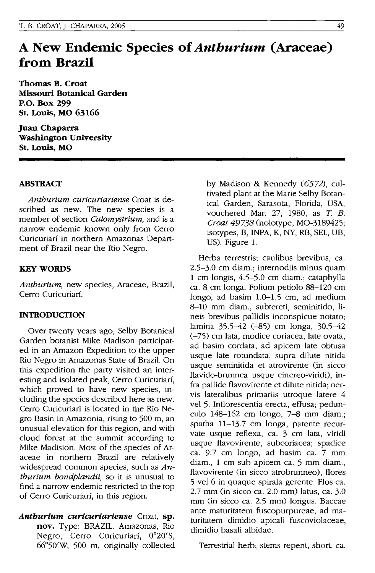# **A New Endemic Species of** *Anthurium* **(Araceae) from Brazil**

**Thomas B. Croat Missouri Botanical Garden P.o. Box 299 St. Louis, MO 63166** 

**Juan Chaparra Washington University St. Louis, MO** 

### **ABSTRACT**

*Anthurium curicuriariense* Croat is described as new. The new species is a member of section *Calomystrium,* and is a narrow endemic known only from Cerro Curicuriarf in northern Amazonas Department of Brazil near the Rio Negro.

#### **KEY WORDS**

*Anthurium,* new species, Araceae, Brazil, Cerro Curicuriarí.

#### **INTRODUCTION**

Over twenty years ago, Selby Botanical Garden botanist Mike Madison participated in an Amazon Expedition to the upper Rio Negro in Amazonas State of Brazil. On this expedition the party visited an interesting and isolated peak, Cerro Curicuriari, which proved to have new species, including the species described here as new. Cerro Curicuriarf is located in the RIo Negro Basin in Amazonia, rising to 500 m, an unusual elevation for this region, and with cloud forest at the summit according to Mike Madision. Most of the species of Araceae in northern Brazil are relatively widespread common species, such as *Anthurium bondplandii,* so it is unusual to find a narrow endemic restricted to the top of Cerro Curicuriarf, in this region.

*Antburium curicuriariense* Croat, **sp. nov.** Type: BRAZIL. Amazonas, Rio Negro, Cerro Curicuriarí, 0°20'S, 66°50'W, 500 m, originally collected by Madison & Kennedy (6572), cultivated plant at the Marie Selby Botanical Garden, Sarasota, Florida, USA, vouchered Mar. 27, 1980, as *T B. Croat* 49738 (holotype, MO-3189425; isotypes, B, INPA, K, NY, RB, SEL, UB, US). Figure 1.

Herba terrestris; caulibus brevibus, ca. 2.5-3.0 cm diam.; internodiis minus quam 1 cm longis, 4.5-5.0 cm diam.; cataphylla ca. 8 cm longa. Folium petiolo 88-120 cm longo, ad basim 1.0-1.5 cm, ad medium 8-10 mm diam., subtereti, seminitido, lineis brevibus pallidis inconspicue notato; lamina 35.5-42 (-85) cm longa, 30.5-42 (-75) cm lata, modice coriacea, late ovata, ad basim cordata, ad apicem late obtusa usque late rotundata, supra dilute nitida usque seminitida et atrovirente (in sicco flavido-brunnea usque cinereo-viridi), infra pallide flavovirente et dilute nitida; nervis lateralibus primariis utroque latere 4 vel 5. Inflorescentia erecta, effusa; pedunculo 148-162 cm longo, 7-8 mm diam.; spatha 11-13.7 cm longa, patente recurvate usque reflexa, ca. 3 cm lata, viridi usque flavovirente, subcoriacea; spadice ca. 9.7 cm longo, ad basim ca. 7 mm diam., 1 cm sub apicem ca. 5 mm diam., flavovirente (in sicco atrobrunneo), flores 5 vel 6 in quaque spirala gerente. Flos ca. 2.7 mm (in sicco ca. 2.0 mm) latus, ca. 3.0 mm (in sicco ca. 2.5 mm) longus. Baccae ante maturitatem fuscopurpureae, ad maturitatem dimidio apicali fuscoviolaceae, dimidio basali albidae.

Terrestrial herb; stems repent, short, ca.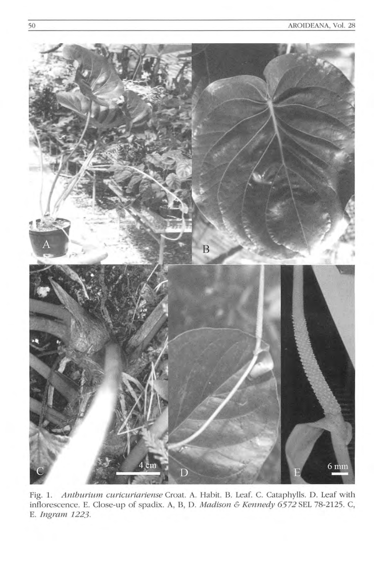

Fig. 1. Anthurium curicuriariense Croat. A. Habit. B. Leaf. C. Cataphylls. D. Leaf with inflorescence. E. Close-up of spadix. A, B, D. Madison & Kennedy 6572 SEL 78-2125. C, E. Ingram 1223.